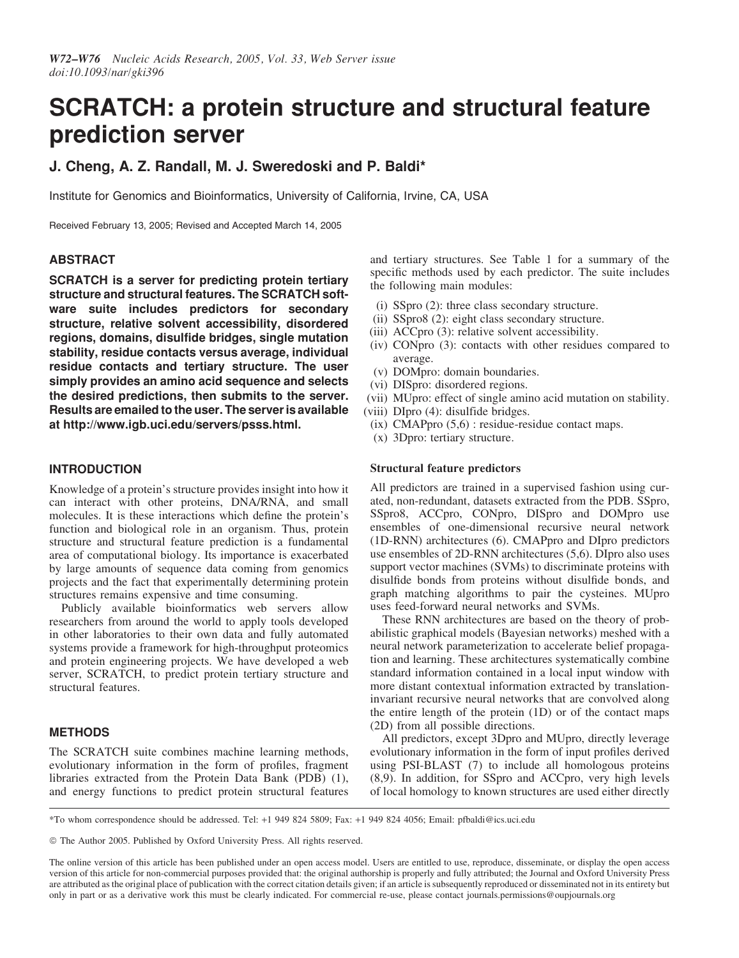# SCRATCH: a protein structure and structural feature prediction server

# J. Cheng, A. Z. Randall, M. J. Sweredoski and P. Baldi\*

Institute for Genomics and Bioinformatics, University of California, Irvine, CA, USA

Received February 13, 2005; Revised and Accepted March 14, 2005

# **ABSTRACT**

SCRATCH is a server for predicting protein tertiary structure and structural features. The SCRATCH software suite includes predictors for secondary structure, relative solvent accessibility, disordered regions, domains, disulfide bridges, single mutation stability, residue contacts versus average, individual residue contacts and tertiary structure. The user simply provides an amino acid sequence and selects the desired predictions, then submits to the server. Results are emailed to the user. The server is available at http://www.igb.uci.edu/servers/psss.html.

## INTRODUCTION

Knowledge of a protein's structure provides insight into how it can interact with other proteins, DNA/RNA, and small molecules. It is these interactions which define the protein's function and biological role in an organism. Thus, protein structure and structural feature prediction is a fundamental area of computational biology. Its importance is exacerbated by large amounts of sequence data coming from genomics projects and the fact that experimentally determining protein structures remains expensive and time consuming.

Publicly available bioinformatics web servers allow researchers from around the world to apply tools developed in other laboratories to their own data and fully automated systems provide a framework for high-throughput proteomics and protein engineering projects. We have developed a web server, SCRATCH, to predict protein tertiary structure and structural features.

# **METHODS**

The SCRATCH suite combines machine learning methods, evolutionary information in the form of profiles, fragment libraries extracted from the Protein Data Bank (PDB) (1), and energy functions to predict protein structural features and tertiary structures. See Table 1 for a summary of the specific methods used by each predictor. The suite includes the following main modules:

- (i) SSpro (2): three class secondary structure.
- (ii) SSpro8 (2): eight class secondary structure.
- (iii) ACCpro (3): relative solvent accessibility.
- (iv) CONpro (3): contacts with other residues compared to average.
- (v) DOMpro: domain boundaries.
- (vi) DISpro: disordered regions.
- (vii) MUpro: effect of single amino acid mutation on stability.
- (viii) DIpro (4): disulfide bridges.
- $(ix)$  CMAPpro  $(5,6)$ : residue-residue contact maps.
- (x) 3Dpro: tertiary structure.

### Structural feature predictors

All predictors are trained in a supervised fashion using curated, non-redundant, datasets extracted from the PDB. SSpro, SSpro8, ACCpro, CONpro, DISpro and DOMpro use ensembles of one-dimensional recursive neural network (1D-RNN) architectures (6). CMAPpro and DIpro predictors use ensembles of 2D-RNN architectures (5,6). DIpro also uses support vector machines (SVMs) to discriminate proteins with disulfide bonds from proteins without disulfide bonds, and graph matching algorithms to pair the cysteines. MUpro uses feed-forward neural networks and SVMs.

These RNN architectures are based on the theory of probabilistic graphical models (Bayesian networks) meshed with a neural network parameterization to accelerate belief propagation and learning. These architectures systematically combine standard information contained in a local input window with more distant contextual information extracted by translationinvariant recursive neural networks that are convolved along the entire length of the protein (1D) or of the contact maps (2D) from all possible directions.

All predictors, except 3Dpro and MUpro, directly leverage evolutionary information in the form of input profiles derived using PSI-BLAST (7) to include all homologous proteins (8,9). In addition, for SSpro and ACCpro, very high levels of local homology to known structures are used either directly

\*To whom correspondence should be addressed. Tel: +1 949 824 5809; Fax: +1 949 824 4056; Email: pfbaldi@ics.uci.edu

© The Author 2005. Published by Oxford University Press. All rights reserved.

The online version of this article has been published under an open access model. Users are entitled to use, reproduce, disseminate, or display the open access version of this article for non-commercial purposes provided that: the original authorship is properly and fully attributed; the Journal and Oxford University Press are attributed as the original place of publication with the correct citation details given; if an article is subsequently reproduced or disseminated not in its entirety but only in part or as a derivative work this must be clearly indicated. For commercial re-use, please contact journals.permissions@oupjournals.org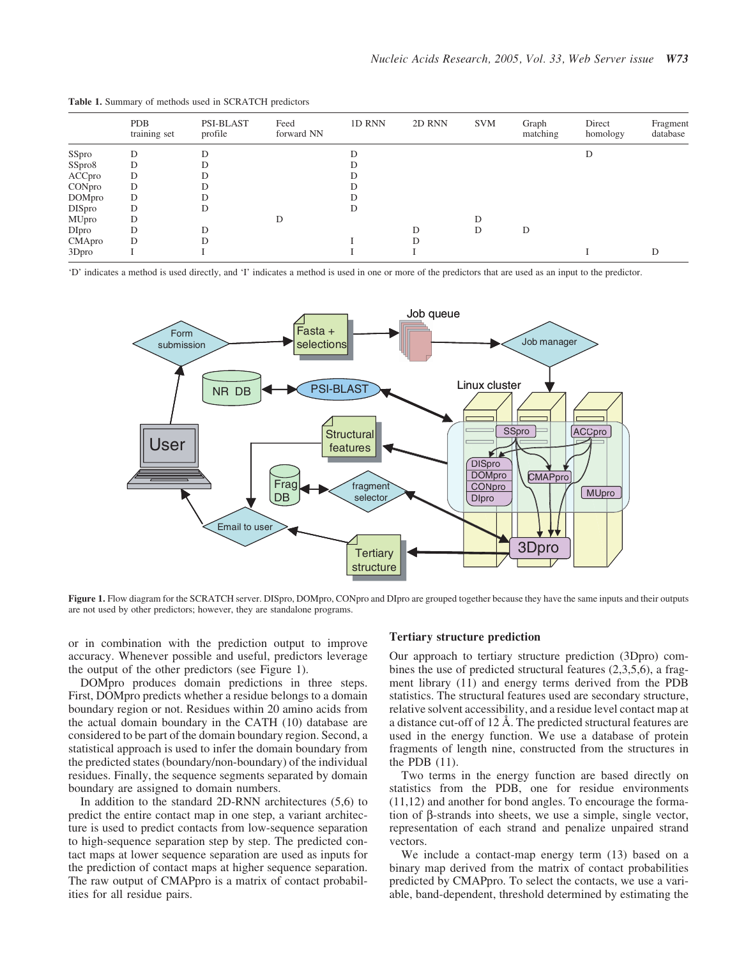|               | <b>PDB</b><br>training set | PSI-BLAST<br>profile | Feed<br>forward NN | 1D RNN | 2D RNN | <b>SVM</b> | Graph<br>matching | Direct<br>homology | Fragment<br>database |
|---------------|----------------------------|----------------------|--------------------|--------|--------|------------|-------------------|--------------------|----------------------|
| SSpro         | D                          | D                    |                    | D      |        |            |                   | D                  |                      |
| SSpro8        | D                          | D                    |                    |        |        |            |                   |                    |                      |
| ACCpro        | D                          | D                    |                    | D      |        |            |                   |                    |                      |
| CONpro        | D                          | D                    |                    | D      |        |            |                   |                    |                      |
| <b>DOMpro</b> | D                          | D                    |                    |        |        |            |                   |                    |                      |
| <b>DISpro</b> | D                          | D                    |                    | D      |        |            |                   |                    |                      |
| MUpro         | D                          |                      | D                  |        |        | D          |                   |                    |                      |
| <b>DIpro</b>  | D                          | D                    |                    |        |        | D          | D                 |                    |                      |
| CMApro        | D                          | D                    |                    |        | D      |            |                   |                    |                      |
| 3Dpro         |                            |                      |                    |        |        |            |                   |                    | D                    |

Table 1. Summary of methods used in SCRATCH predictors

'D' indicates a method is used directly, and 'I' indicates a method is used in one or more of the predictors that are used as an input to the predictor.



Figure 1. Flow diagram for the SCRATCH server. DISpro, DOMpro, CONpro and DIpro are grouped together because they have the same inputs and their outputs are not used by other predictors; however, they are standalone programs.

or in combination with the prediction output to improve accuracy. Whenever possible and useful, predictors leverage the output of the other predictors (see Figure 1).

DOMpro produces domain predictions in three steps. First, DOMpro predicts whether a residue belongs to a domain boundary region or not. Residues within 20 amino acids from the actual domain boundary in the CATH (10) database are considered to be part of the domain boundary region. Second, a statistical approach is used to infer the domain boundary from the predicted states (boundary/non-boundary) of the individual residues. Finally, the sequence segments separated by domain boundary are assigned to domain numbers.

In addition to the standard 2D-RNN architectures (5,6) to predict the entire contact map in one step, a variant architecture is used to predict contacts from low-sequence separation to high-sequence separation step by step. The predicted contact maps at lower sequence separation are used as inputs for the prediction of contact maps at higher sequence separation. The raw output of CMAPpro is a matrix of contact probabilities for all residue pairs.

#### Tertiary structure prediction

Our approach to tertiary structure prediction (3Dpro) combines the use of predicted structural features (2,3,5,6), a fragment library (11) and energy terms derived from the PDB statistics. The structural features used are secondary structure, relative solvent accessibility, and a residue level contact map at a distance cut-off of  $12 \text{ Å}$ . The predicted structural features are used in the energy function. We use a database of protein fragments of length nine, constructed from the structures in the PDB (11).

Two terms in the energy function are based directly on statistics from the PDB, one for residue environments (11,12) and another for bond angles. To encourage the formation of  $\beta$ -strands into sheets, we use a simple, single vector, representation of each strand and penalize unpaired strand vectors.

We include a contact-map energy term (13) based on a binary map derived from the matrix of contact probabilities predicted by CMAPpro. To select the contacts, we use a variable, band-dependent, threshold determined by estimating the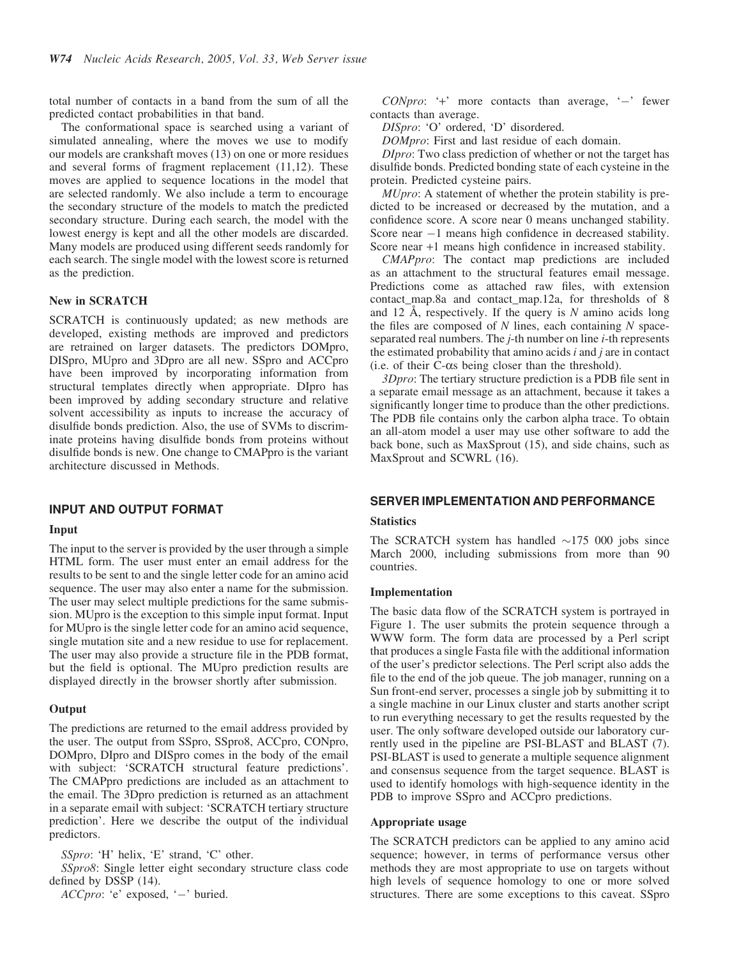total number of contacts in a band from the sum of all the predicted contact probabilities in that band.

The conformational space is searched using a variant of simulated annealing, where the moves we use to modify our models are crankshaft moves (13) on one or more residues and several forms of fragment replacement (11,12). These moves are applied to sequence locations in the model that are selected randomly. We also include a term to encourage the secondary structure of the models to match the predicted secondary structure. During each search, the model with the lowest energy is kept and all the other models are discarded. Many models are produced using different seeds randomly for each search. The single model with the lowest score is returned as the prediction.

#### New in SCRATCH

SCRATCH is continuously updated; as new methods are developed, existing methods are improved and predictors are retrained on larger datasets. The predictors DOMpro, DISpro, MUpro and 3Dpro are all new. SSpro and ACCpro have been improved by incorporating information from structural templates directly when appropriate. DIpro has been improved by adding secondary structure and relative solvent accessibility as inputs to increase the accuracy of disulfide bonds prediction. Also, the use of SVMs to discriminate proteins having disulfide bonds from proteins without disulfide bonds is new. One change to CMAPpro is the variant architecture discussed in Methods.

## INPUT AND OUTPUT FORMAT

#### Input

The input to the server is provided by the user through a simple HTML form. The user must enter an email address for the results to be sent to and the single letter code for an amino acid sequence. The user may also enter a name for the submission. The user may select multiple predictions for the same submission. MUpro is the exception to this simple input format. Input for MUpro is the single letter code for an amino acid sequence, single mutation site and a new residue to use for replacement. The user may also provide a structure file in the PDB format, but the field is optional. The MUpro prediction results are displayed directly in the browser shortly after submission.

#### **Output**

The predictions are returned to the email address provided by the user. The output from SSpro, SSpro8, ACCpro, CONpro, DOMpro, DIpro and DISpro comes in the body of the email with subject: 'SCRATCH structural feature predictions'. The CMAPpro predictions are included as an attachment to the email. The 3Dpro prediction is returned as an attachment in a separate email with subject: 'SCRATCH tertiary structure prediction'. Here we describe the output of the individual predictors.

SSpro: 'H' helix, 'E' strand, 'C' other.

SSpro8: Single letter eight secondary structure class code defined by DSSP (14).

ACCpro: 'e' exposed, ' $-$ ' buried.

 $\textit{CONpro:}$  '+' more contacts than average, '-' fewer contacts than average.

DISpro: 'O' ordered, 'D' disordered.

DOMpro: First and last residue of each domain.

DIpro: Two class prediction of whether or not the target has disulfide bonds. Predicted bonding state of each cysteine in the protein. Predicted cysteine pairs.

MUpro: A statement of whether the protein stability is predicted to be increased or decreased by the mutation, and a confidence score. A score near 0 means unchanged stability. Score near  $-1$  means high confidence in decreased stability. Score near +1 means high confidence in increased stability.

CMAPpro: The contact map predictions are included as an attachment to the structural features email message. Predictions come as attached raw files, with extension contact\_map.8a and contact\_map.12a, for thresholds of 8 and 12 Å, respectively. If the query is  $N$  amino acids long the files are composed of  $N$  lines, each containing  $N$  spaceseparated real numbers. The *j*-th number on line *i*-th represents the estimated probability that amino acids  $i$  and  $j$  are in contact (i.e. of their  $C$ - $\alpha s$  being closer than the threshold).

3Dpro: The tertiary structure prediction is a PDB file sent in a separate email message as an attachment, because it takes a significantly longer time to produce than the other predictions. The PDB file contains only the carbon alpha trace. To obtain an all-atom model a user may use other software to add the back bone, such as MaxSprout (15), and side chains, such as MaxSprout and SCWRL (16).

### SERVER IMPLEMENTATION AND PERFORMANCE

#### **Statistics**

The SCRATCH system has handled  $\sim$ 175 000 jobs since March 2000, including submissions from more than 90 countries.

#### Implementation

The basic data flow of the SCRATCH system is portrayed in Figure 1. The user submits the protein sequence through a WWW form. The form data are processed by a Perl script that produces a single Fasta file with the additional information of the user's predictor selections. The Perl script also adds the file to the end of the job queue. The job manager, running on a Sun front-end server, processes a single job by submitting it to a single machine in our Linux cluster and starts another script to run everything necessary to get the results requested by the user. The only software developed outside our laboratory currently used in the pipeline are PSI-BLAST and BLAST (7). PSI-BLAST is used to generate a multiple sequence alignment and consensus sequence from the target sequence. BLAST is used to identify homologs with high-sequence identity in the PDB to improve SSpro and ACCpro predictions.

#### Appropriate usage

The SCRATCH predictors can be applied to any amino acid sequence; however, in terms of performance versus other methods they are most appropriate to use on targets without high levels of sequence homology to one or more solved structures. There are some exceptions to this caveat. SSpro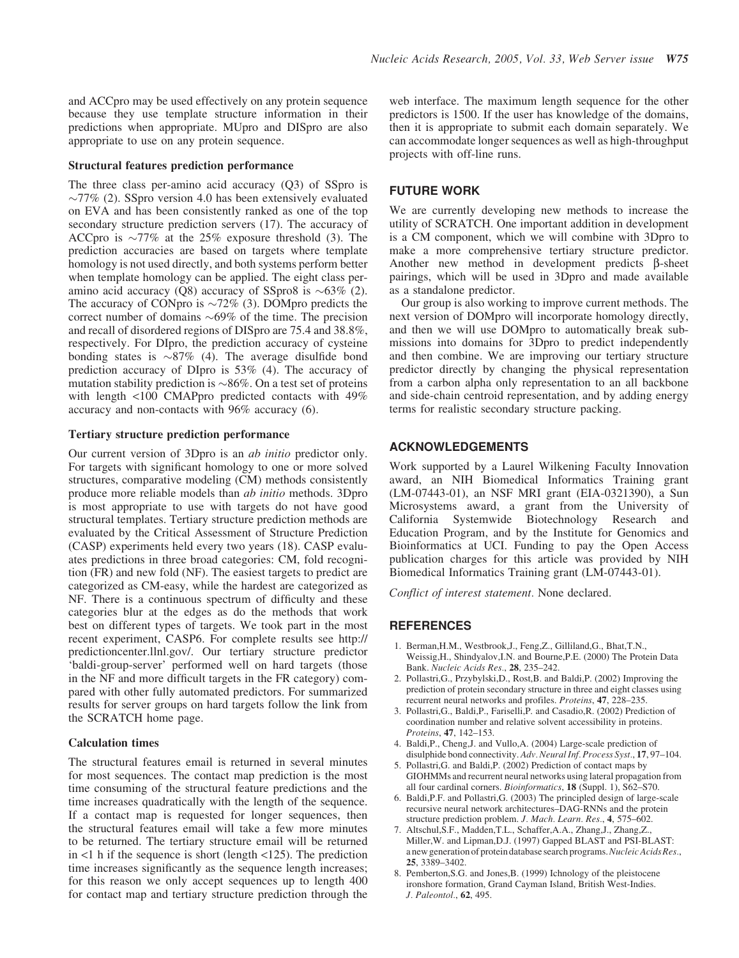and ACCpro may be used effectively on any protein sequence because they use template structure information in their predictions when appropriate. MUpro and DISpro are also appropriate to use on any protein sequence.

## Structural features prediction performance

The three class per-amino acid accuracy (Q3) of SSpro is  $\sim$ 77% (2). SSpro version 4.0 has been extensively evaluated on EVA and has been consistently ranked as one of the top secondary structure prediction servers (17). The accuracy of ACCpro is  $\sim$ 77% at the 25% exposure threshold (3). The prediction accuracies are based on targets where template homology is not used directly, and both systems perform better when template homology can be applied. The eight class peramino acid accuracy (Q8) accuracy of SSpro8 is  $\sim 63\%$  (2). The accuracy of CONpro is  $\sim 72\%$  (3). DOMpro predicts the correct number of domains  $\sim 69\%$  of the time. The precision and recall of disordered regions of DISpro are 75.4 and 38.8%, respectively. For DIpro, the prediction accuracy of cysteine bonding states is  $\sim 87\%$  (4). The average disulfide bond prediction accuracy of DIpro is 53% (4). The accuracy of mutation stability prediction is  $\sim$ 86%. On a test set of proteins with length <100 CMAPpro predicted contacts with 49% accuracy and non-contacts with 96% accuracy (6).

## Tertiary structure prediction performance

Our current version of 3Dpro is an ab initio predictor only. For targets with significant homology to one or more solved structures, comparative modeling (CM) methods consistently produce more reliable models than ab initio methods. 3Dpro is most appropriate to use with targets do not have good structural templates. Tertiary structure prediction methods are evaluated by the Critical Assessment of Structure Prediction (CASP) experiments held every two years (18). CASP evaluates predictions in three broad categories: CM, fold recognition (FR) and new fold (NF). The easiest targets to predict are categorized as CM-easy, while the hardest are categorized as NF. There is a continuous spectrum of difficulty and these categories blur at the edges as do the methods that work best on different types of targets. We took part in the most recent experiment, CASP6. For complete results see http:// predictioncenter.llnl.gov/. Our tertiary structure predictor 'baldi-group-server' performed well on hard targets (those in the NF and more difficult targets in the FR category) compared with other fully automated predictors. For summarized results for server groups on hard targets follow the link from the SCRATCH home page.

## Calculation times

The structural features email is returned in several minutes for most sequences. The contact map prediction is the most time consuming of the structural feature predictions and the time increases quadratically with the length of the sequence. If a contact map is requested for longer sequences, then the structural features email will take a few more minutes to be returned. The tertiary structure email will be returned in <1 h if the sequence is short (length <125). The prediction time increases significantly as the sequence length increases; for this reason we only accept sequences up to length 400 for contact map and tertiary structure prediction through the web interface. The maximum length sequence for the other predictors is 1500. If the user has knowledge of the domains, then it is appropriate to submit each domain separately. We can accommodate longer sequences as well as high-throughput projects with off-line runs.

## FUTURE WORK

We are currently developing new methods to increase the utility of SCRATCH. One important addition in development is a CM component, which we will combine with 3Dpro to make a more comprehensive tertiary structure predictor. Another new method in development predicts  $\beta$ -sheet pairings, which will be used in 3Dpro and made available as a standalone predictor.

Our group is also working to improve current methods. The next version of DOMpro will incorporate homology directly, and then we will use DOMpro to automatically break submissions into domains for 3Dpro to predict independently and then combine. We are improving our tertiary structure predictor directly by changing the physical representation from a carbon alpha only representation to an all backbone and side-chain centroid representation, and by adding energy terms for realistic secondary structure packing.

## ACKNOWLEDGEMENTS

Work supported by a Laurel Wilkening Faculty Innovation award, an NIH Biomedical Informatics Training grant (LM-07443-01), an NSF MRI grant (EIA-0321390), a Sun Microsystems award, a grant from the University of California Systemwide Biotechnology Research and Education Program, and by the Institute for Genomics and Bioinformatics at UCI. Funding to pay the Open Access publication charges for this article was provided by NIH Biomedical Informatics Training grant (LM-07443-01).

Conflict of interest statement. None declared.

# **REFERENCES**

- 1. Berman,H.M., Westbrook,J., Feng,Z., Gilliland,G., Bhat,T.N., Weissig,H., Shindyalov,I.N. and Bourne,P.E. (2000) The Protein Data Bank. Nucleic Acids Res., 28, 235–242.
- 2. Pollastri,G., Przybylski,D., Rost,B. and Baldi,P. (2002) Improving the prediction of protein secondary structure in three and eight classes using recurrent neural networks and profiles. Proteins, 47, 228–235.
- 3. Pollastri,G., Baldi,P., Fariselli,P. and Casadio,R. (2002) Prediction of coordination number and relative solvent accessibility in proteins. Proteins, 47, 142–153.
- 4. Baldi,P., Cheng,J. and Vullo,A. (2004) Large-scale prediction of disulphide bond connectivity. Adv. Neural Inf. Process Syst., 17, 97-104.
- 5. Pollastri,G. and Baldi,P. (2002) Prediction of contact maps by GIOHMMs and recurrent neural networks using lateral propagation from all four cardinal corners. *Bioinformatics*, **18** (Suppl. 1),  $S62-S70$ .
- 6. Baldi,P.F. and Pollastri,G. (2003) The principled design of large-scale recursive neural network architectures–DAG-RNNs and the protein structure prediction problem. J. Mach. Learn. Res., 4, 575–602.
- 7. Altschul,S.F., Madden,T.L., Schaffer,A.A., Zhang,J., Zhang,Z., Miller,W. and Lipman,D.J. (1997) Gapped BLAST and PSI-BLAST: a new generation of protein database search programs. Nucleic Acids Res., 25, 3389–3402.
- 8. Pemberton,S.G. and Jones,B. (1999) Ichnology of the pleistocene ironshore formation, Grand Cayman Island, British West-Indies. J. Paleontol., 62, 495.